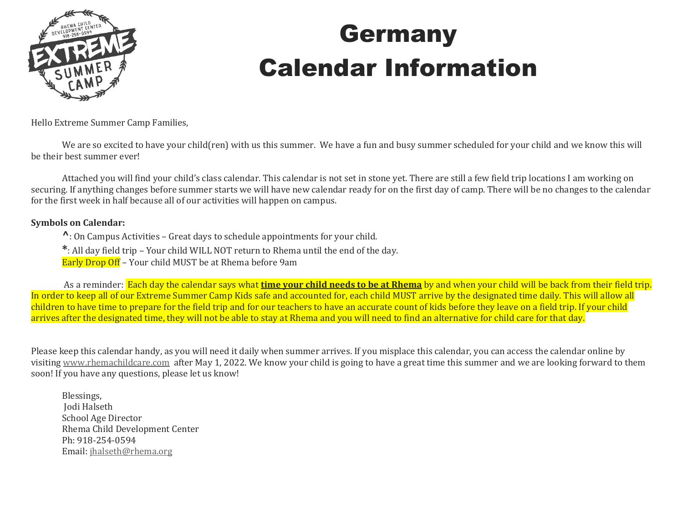

## Germany Calendar Information

Hello Extreme Summer Camp Families,

We are so excited to have your child(ren) with us this summer. We have a fun and busy summer scheduled for your child and we know this will be their best summer ever!

Attached you will find your child's class calendar. This calendar is not set in stone yet. There are still a few field trip locations I am working on securing. If anything changes before summer starts we will have new calendar ready for on the first day of camp. There will be no changes to the calendar for the first week in half because all of our activities will happen on campus.

#### **Symbols on Calendar:**

**^**: On Campus Activities – Great days to schedule appointments for your child.

**\***: All day field trip – Your child WILL NOT return to Rhema until the end of the day.

Early Drop Off – Your child MUST be at Rhema before 9am

As a reminder: Each day the calendar says what **time your child needs to be at Rhema** by and when your child will be back from their field trip. In order to keep all of our Extreme Summer Camp Kids safe and accounted for, each child MUST arrive by the designated time daily. This will allow all children to have time to prepare for the field trip and for our teachers to have an accurate count of kids before they leave on a field trip. If your child arrives after the designated time, they will not be able to stay at Rhema and you will need to find an alternative for child care for that day.

Please keep this calendar handy, as you will need it daily when summer arrives. If you misplace this calendar, you can access the calendar online by visiting [www.rhemachildcare.com](http://www.rhemachildcare.com/) after May 1, 2022. We know your child is going to have a great time this summer and we are looking forward to them soon! If you have any questions, please let us know!

Blessings, Jodi Halseth School Age Director Rhema Child Development Center Ph: 918-254-0594 Email: [jhalseth@rhema.org](mailto:jhalseth@rhema.org)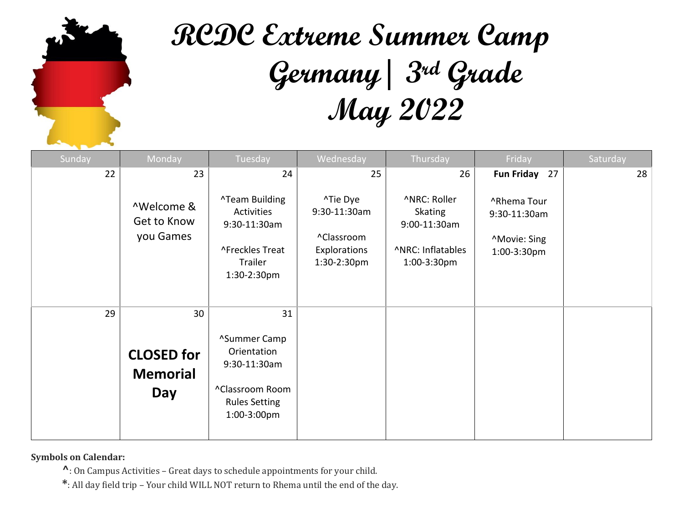

# **RCDC Extreme Summer Camp Germany| 3rd Grade May 2022**

| Sunday | Monday                                      | Tuesday                                                                                               | Wednesday                                                             | Thursday                                                                           | Friday                                                           | Saturday |
|--------|---------------------------------------------|-------------------------------------------------------------------------------------------------------|-----------------------------------------------------------------------|------------------------------------------------------------------------------------|------------------------------------------------------------------|----------|
| 22     | 23                                          | 24                                                                                                    | 25                                                                    | 26                                                                                 | Fun Friday 27                                                    | 28       |
|        | ^Welcome &<br>Get to Know<br>you Games      | <b>^Team Building</b><br>Activities<br>9:30-11:30am<br>^Freckles Treat<br>Trailer<br>1:30-2:30pm      | ^Tie Dye<br>9:30-11:30am<br>^Classroom<br>Explorations<br>1:30-2:30pm | ^NRC: Roller<br><b>Skating</b><br>9:00-11:30am<br>^NRC: Inflatables<br>1:00-3:30pm | ^Rhema Tour<br>9:30-11:30am<br><b>Movie: Sing</b><br>1:00-3:30pm |          |
| 29     | 30                                          | 31                                                                                                    |                                                                       |                                                                                    |                                                                  |          |
|        | <b>CLOSED</b> for<br><b>Memorial</b><br>Day | ^Summer Camp<br>Orientation<br>9:30-11:30am<br>^Classroom Room<br><b>Rules Setting</b><br>1:00-3:00pm |                                                                       |                                                                                    |                                                                  |          |

**Symbols on Calendar:** 

**^**: On Campus Activities – Great days to schedule appointments for your child.

**\***: All day field trip – Your child WILL NOT return to Rhema until the end of the day.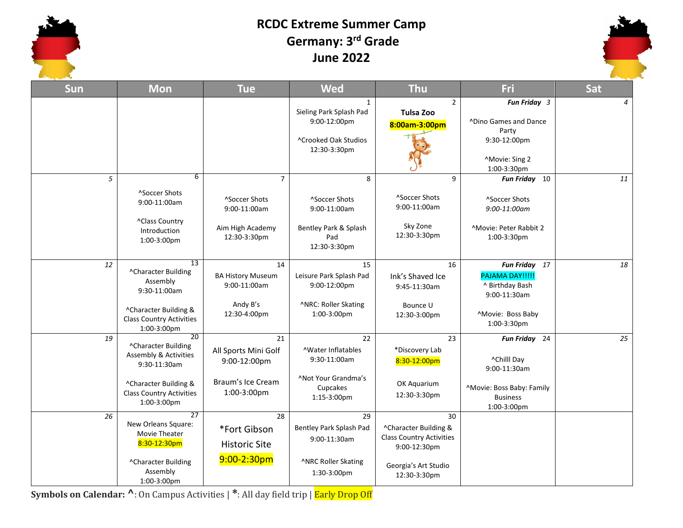#### **RCDC Extreme Summer Camp Germany: 3 rd Grade June 2022**



| <b>Sun</b> | <b>Mon</b>                                                                                                                                    | <b>Tue</b>                                                                          | <b>Wed</b>                                                                                                  | <b>Thu</b>                                                                                                             | Fri                                                                                                               | Sat            |
|------------|-----------------------------------------------------------------------------------------------------------------------------------------------|-------------------------------------------------------------------------------------|-------------------------------------------------------------------------------------------------------------|------------------------------------------------------------------------------------------------------------------------|-------------------------------------------------------------------------------------------------------------------|----------------|
|            |                                                                                                                                               |                                                                                     | $\mathbf{1}$<br>Sieling Park Splash Pad<br>9:00-12:00pm<br><sup>^</sup> Crooked Oak Studios<br>12:30-3:30pm | $\overline{2}$<br>Tulsa Zoo<br>8:00am-3:00pm                                                                           | Fun Friday 3<br><b>ADino Games and Dance</b><br>Party<br>9:30-12:00pm<br>^Movie: Sing 2<br>1:00-3:30pm            | $\overline{4}$ |
| 5          | 6<br><sup>^</sup> Soccer Shots<br>9:00-11:00am<br>^Class Country<br>Introduction<br>1:00-3:00pm                                               | $\overline{7}$<br>^Soccer Shots<br>9:00-11:00am<br>Aim High Academy<br>12:30-3:30pm | 8<br>^Soccer Shots<br>9:00-11:00am<br>Bentley Park & Splash<br>Pad<br>12:30-3:30pm                          | 9<br>^Soccer Shots<br>9:00-11:00am<br>Sky Zone<br>12:30-3:30pm                                                         | Fun Friday 10<br>^Soccer Shots<br>$9:00-11:00$ am<br><sup>^</sup> Movie: Peter Rabbit 2<br>1:00-3:30pm            | 11             |
| 12         | $\overline{13}$<br>^Character Building<br>Assembly<br>9:30-11:00am<br>^Character Building &<br><b>Class Country Activities</b><br>1:00-3:00pm | 14<br><b>BA History Museum</b><br>9:00-11:00am<br>Andy B's<br>12:30-4:00pm          | 15<br>Leisure Park Splash Pad<br>9:00-12:00pm<br>^NRC: Roller Skating<br>1:00-3:00pm                        | 16<br>Ink's Shaved Ice<br>9:45-11:30am<br>Bounce U<br>12:30-3:00pm                                                     | <b>Fun Friday</b><br>17<br>PAJAMA DAY!!!!!<br>^ Birthday Bash<br>9:00-11:30am<br>^Movie: Boss Baby<br>1:00-3:30pm | 18             |
| 19         | 20<br>^Character Building<br>Assembly & Activities<br>9:30-11:30am<br>^Character Building &<br><b>Class Country Activities</b><br>1:00-3:00pm | 21<br>All Sports Mini Golf<br>9:00-12:00pm<br>Braum's Ice Cream<br>1:00-3:00pm      | 22<br><b>AWater Inflatables</b><br>9:30-11:00am<br><b>Not Your Grandma's</b><br>Cupcakes<br>1:15-3:00pm     | 23<br>*Discovery Lab<br>8:30-12:00pm<br>OK Aquarium<br>12:30-3:30pm                                                    | Fun Friday 24<br>^Chilll Day<br>9:00-11:30am<br>^Movie: Boss Baby: Family<br><b>Business</b><br>1:00-3:00pm       | 25             |
| 26         | 27<br>New Orleans Square:<br>Movie Theater<br>8:30-12:30pm<br>^Character Building<br>Assembly<br>$1:00-3:00$ pm                               | 28<br>*Fort Gibson<br><b>Historic Site</b><br>$9:00-2:30$ pm                        | 29<br>Bentley Park Splash Pad<br>9:00-11:30am<br>^NRC Roller Skating<br>1:30-3:00pm                         | 30<br>^Character Building &<br><b>Class Country Activities</b><br>9:00-12:30pm<br>Georgia's Art Studio<br>12:30-3:30pm |                                                                                                                   |                |

**Symbols on Calendar: ^**: On Campus Activities | **\***: All day field trip | Early Drop Off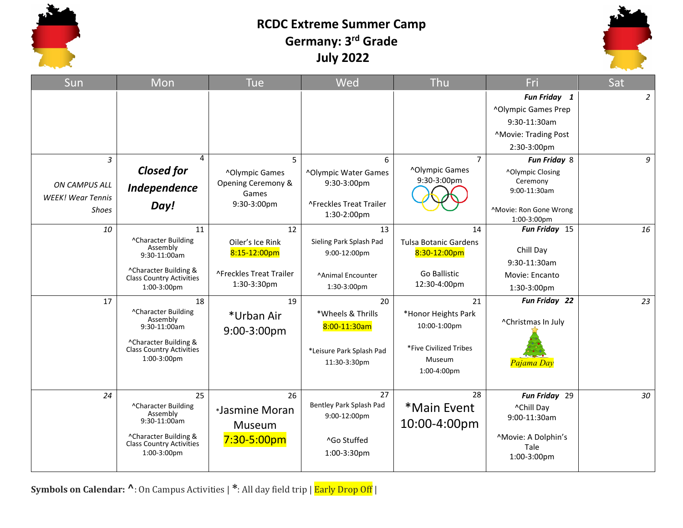

### **RCDC Extreme Summer Camp Germany: 3 rd Grade July 2022**



| Sun                      | Mon                                                      | Tue                            | Wed                      | Thu                              | Fri                          | Sat            |
|--------------------------|----------------------------------------------------------|--------------------------------|--------------------------|----------------------------------|------------------------------|----------------|
|                          |                                                          |                                |                          |                                  | Fun Friday 1                 | $\overline{2}$ |
|                          |                                                          |                                |                          |                                  | ^Olympic Games Prep          |                |
|                          |                                                          |                                |                          |                                  | 9:30-11:30am                 |                |
|                          |                                                          |                                |                          |                                  | ^Movie: Trading Post         |                |
|                          |                                                          |                                |                          |                                  | 2:30-3:00pm                  |                |
| 3                        | 4                                                        | 5                              | 6                        | $\overline{7}$                   | Fun Friday 8                 | 9              |
|                          | <b>Closed for</b>                                        | ^Olympic Games                 | ^Olympic Water Games     | ^Olympic Games                   | ^Olympic Closing             |                |
| <b>ON CAMPUS ALL</b>     | Independence                                             | Opening Ceremony &             | 9:30-3:00pm              | 9:30-3:00pm                      | Ceremony<br>9:00-11:30am     |                |
| <b>WEEK!</b> Wear Tennis |                                                          | Games<br>9:30-3:00pm           | ^Freckles Treat Trailer  |                                  |                              |                |
| <b>Shoes</b>             | Day!                                                     |                                | 1:30-2:00pm              |                                  | ^Movie: Ron Gone Wrong       |                |
| 10                       | 11                                                       | 12                             | 13                       | 14                               | 1:00-3:00pm<br>Fun Friday 15 | 16             |
|                          | ^Character Building                                      | Oiler's Ice Rink               | Sieling Park Splash Pad  | <b>Tulsa Botanic Gardens</b>     |                              |                |
|                          | Assembly<br>9:30-11:00am                                 | 8:15-12:00pm                   | 9:00-12:00pm             | 8:30-12:00pm                     | Chill Day                    |                |
|                          |                                                          |                                |                          |                                  | 9:30-11:30am                 |                |
|                          | ^Character Building &<br><b>Class Country Activities</b> | <b>^Freckles Treat Trailer</b> | <b>Animal Encounter</b>  | Go Ballistic                     | Movie: Encanto               |                |
|                          | 1:00-3:00pm                                              | 1:30-3:30pm                    | 1:30-3:00pm              | 12:30-4:00pm                     | 1:30-3:00pm                  |                |
| 17                       | 18                                                       | 19                             | 20                       | 21                               | Fun Friday 22                | 23             |
|                          | ^Character Building<br>Assembly                          | *Urban Air                     | *Wheels & Thrills        | *Honor Heights Park              |                              |                |
|                          | 9:30-11:00am                                             | 9:00-3:00pm                    | 8:00-11:30am             | 10:00-1:00pm                     | ^Christmas In July           |                |
|                          | ^Character Building &                                    |                                |                          |                                  |                              |                |
|                          | <b>Class Country Activities</b><br>1:00-3:00pm           |                                | *Leisure Park Splash Pad | *Five Civilized Tribes<br>Museum |                              |                |
|                          |                                                          |                                | 11:30-3:30pm             | 1:00-4:00pm                      | Pajama Day                   |                |
|                          |                                                          |                                |                          |                                  |                              |                |
| 24                       | 25                                                       | 26                             | 27                       | 28                               | Fun Friday 29                | 30             |
|                          | ^Character Building                                      | *Jasmine Moran                 | Bentley Park Splash Pad  | *Main Event                      | ^Chill Day                   |                |
|                          | Assembly<br>9:30-11:00am                                 |                                | 9:00-12:00pm             | 10:00-4:00pm                     | 9:00-11:30am                 |                |
|                          | ^Character Building &                                    | Museum                         |                          |                                  | ^Movie: A Dolphin's          |                |
|                          | <b>Class Country Activities</b>                          | $7:30 - 5:00pm$                | ^Go Stuffed              |                                  | Tale                         |                |
|                          | 1:00-3:00pm                                              |                                | 1:00-3:30pm              |                                  | 1:00-3:00pm                  |                |
|                          |                                                          |                                |                          |                                  |                              |                |

**Symbols on Calendar: ^**: On Campus Activities | **\***: All day field trip | Early Drop Off |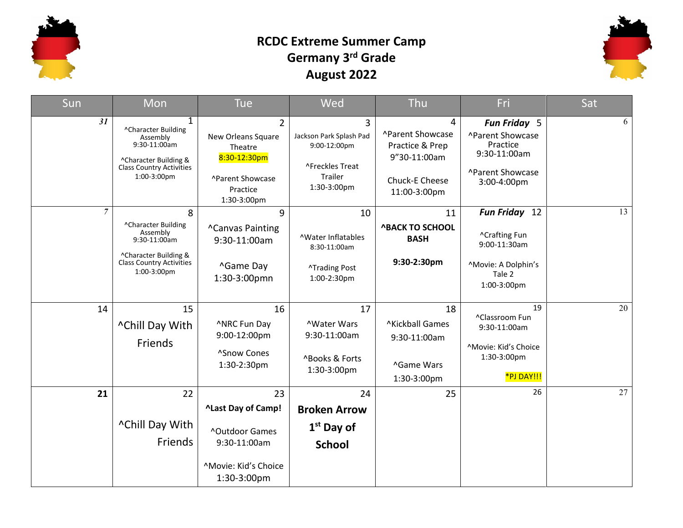

### **RCDC Extreme Summer Camp Germany 3rd Grade August 2022**



| Sun            | Mon                                                                                                                                        | <b>Tue</b>                                                                                                     | Wed                                                                                       | Thu                                                                                        | Fri                                                                                             | Sat |
|----------------|--------------------------------------------------------------------------------------------------------------------------------------------|----------------------------------------------------------------------------------------------------------------|-------------------------------------------------------------------------------------------|--------------------------------------------------------------------------------------------|-------------------------------------------------------------------------------------------------|-----|
| 31             | $\mathbf{1}$<br>^Character Building<br>Assembly<br>9:30-11:00am<br>^Character Building &<br><b>Class Country Activities</b><br>1:00-3:00pm | $\overline{2}$<br>New Orleans Square<br>Theatre<br>8:30-12:30pm<br>^Parent Showcase<br>Practice<br>1:30-3:00pm | 3<br>Jackson Park Splash Pad<br>9:00-12:00pm<br>^Freckles Treat<br>Trailer<br>1:30-3:00pm | 4<br>^Parent Showcase<br>Practice & Prep<br>9"30-11:00am<br>Chuck-E Cheese<br>11:00-3:00pm | Fun Friday 5<br>^Parent Showcase<br>Practice<br>9:30-11:00am<br>^Parent Showcase<br>3:00-4:00pm | 6   |
| $\overline{7}$ | 8<br>^Character Building<br>Assembly<br>9:30-11:00am<br>^Character Building &<br><b>Class Country Activities</b><br>1:00-3:00pm            | 9<br><b>^Canvas Painting</b><br>9:30-11:00am<br>^Game Day<br>1:30-3:00pmn                                      | 10<br><b>AWater Inflatables</b><br>8:30-11:00am<br><b>^Trading Post</b><br>1:00-2:30pm    | 11<br><b>^BACK TO SCHOOL</b><br><b>BASH</b><br>9:30-2:30pm                                 | Fun Friday 12<br>^Crafting Fun<br>9:00-11:30am<br>^Movie: A Dolphin's<br>Tale 2<br>1:00-3:00pm  | 13  |
| 14             | 15<br>^Chill Day With<br>Friends                                                                                                           | 16<br>^NRC Fun Day<br>9:00-12:00pm<br>^Snow Cones<br>1:30-2:30pm                                               | 17<br><b>NWater Wars</b><br>9:30-11:00am<br>^Books & Forts<br>1:30-3:00pm                 | 18<br><b>^Kickball Games</b><br>9:30-11:00am<br>^Game Wars<br>1:30-3:00pm                  | 19<br>^Classroom Fun<br>9:30-11:00am<br>^Movie: Kid's Choice<br>1:30-3:00pm<br>*PJ DAY!!!       | 20  |
| 21             | 22<br>^Chill Day With<br>Friends                                                                                                           | 23<br>^Last Day of Camp!<br><b>^Outdoor Games</b><br>9:30-11:00am<br>^Movie: Kid's Choice<br>1:30-3:00pm       | 24<br><b>Broken Arrow</b><br>$1st$ Day of<br><b>School</b>                                | 25                                                                                         | 26                                                                                              | 27  |